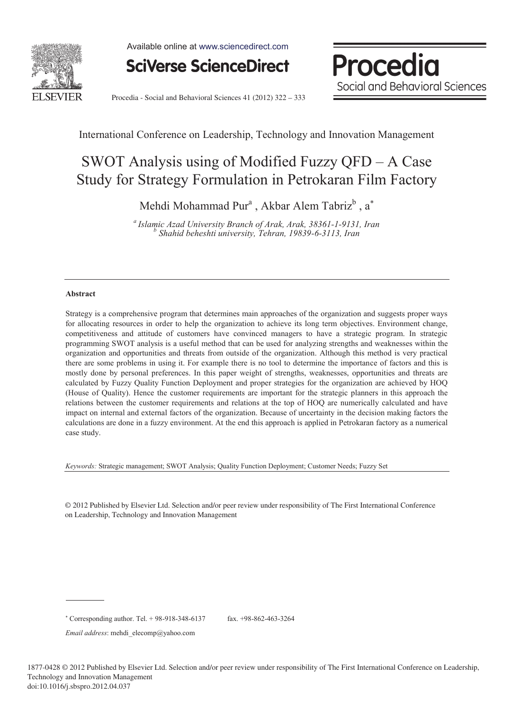

Available online at www.sciencedirect.com

**SciVerse ScienceDirect** 



Procedia - Social and Behavioral Sciences 41 (2012) 322 - 333

International Conference on Leadership, Technology and Innovation Management

# SWOT Analysis using of Modified Fuzzy QFD – A Case Study for Strategy Formulation in Petrokaran Film Factory

Mehdi Mohammad Pur<sup>a</sup>, Akbar Alem Tabriz<sup>b</sup>, a<sup>\*</sup>

*a Islamic Azad University Branch of Arak, Arak, 38361-1-9131, Iran b Shahid beheshti university, Tehran, 19839-6-3113, Iran* 

#### **Abstract**

Strategy is a comprehensive program that determines main approaches of the organization and suggests proper ways for allocating resources in order to help the organization to achieve its long term objectives. Environment change, competitiveness and attitude of customers have convinced managers to have a strategic program. In strategic programming SWOT analysis is a useful method that can be used for analyzing strengths and weaknesses within the organization and opportunities and threats from outside of the organization. Although this method is very practical there are some problems in using it. For example there is no tool to determine the importance of factors and this is mostly done by personal preferences. In this paper weight of strengths, weaknesses, opportunities and threats are calculated by Fuzzy Quality Function Deployment and proper strategies for the organization are achieved by HOQ (House of Quality). Hence the customer requirements are important for the strategic planners in this approach the relations between the customer requirements and relations at the top of HOQ are numerically calculated and have impact on internal and external factors of the organization. Because of uncertainty in the decision making factors the calculations are done in a fuzzy environment. At the end this approach is applied in Petrokaran factory as a numerical case study.

*Keywords:* Strategic management; SWOT Analysis; Quality Function Deployment; Customer Needs; Fuzzy Set

© 2012 Published by Elsevier Ltd. Selection and/or peer review under responsibility of The First International Conference on Leadership, Technology and Innovation Management

*Email address*: mehdi\_elecomp@yahoo.com

 Corresponding author. Tel. + 98-918-348-6137 fax. +98-862-463-3264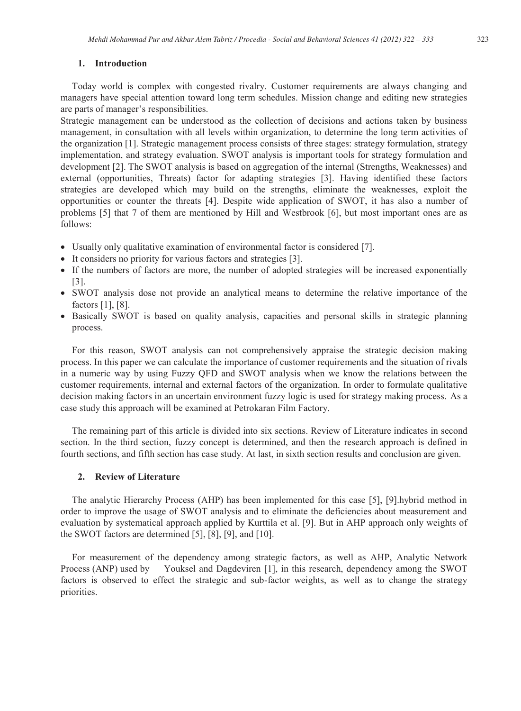### **1. Introduction**

Today world is complex with congested rivalry. Customer requirements are always changing and managers have special attention toward long term schedules. Mission change and editing new strategies are parts of manager's responsibilities.

Strategic management can be understood as the collection of decisions and actions taken by business management, in consultation with all levels within organization, to determine the long term activities of the organization [1]. Strategic management process consists of three stages: strategy formulation, strategy implementation, and strategy evaluation. SWOT analysis is important tools for strategy formulation and development [2]. The SWOT analysis is based on aggregation of the internal (Strengths, Weaknesses) and external (opportunities, Threats) factor for adapting strategies [3]. Having identified these factors strategies are developed which may build on the strengths, eliminate the weaknesses, exploit the opportunities or counter the threats [4]. Despite wide application of SWOT, it has also a number of problems [5] that 7 of them are mentioned by Hill and Westbrook [6], but most important ones are as follows:

- Usually only qualitative examination of environmental factor is considered [7].
- It considers no priority for various factors and strategies [3].
- If the numbers of factors are more, the number of adopted strategies will be increased exponentially [3].
- SWOT analysis dose not provide an analytical means to determine the relative importance of the factors [1], [8].
- Basically SWOT is based on quality analysis, capacities and personal skills in strategic planning process.

For this reason, SWOT analysis can not comprehensively appraise the strategic decision making process. In this paper we can calculate the importance of customer requirements and the situation of rivals in a numeric way by using Fuzzy QFD and SWOT analysis when we know the relations between the customer requirements, internal and external factors of the organization. In order to formulate qualitative decision making factors in an uncertain environment fuzzy logic is used for strategy making process. As a case study this approach will be examined at Petrokaran Film Factory.

The remaining part of this article is divided into six sections. Review of Literature indicates in second section. In the third section, fuzzy concept is determined, and then the research approach is defined in fourth sections, and fifth section has case study. At last, in sixth section results and conclusion are given.

# **2. Review of Literature**

The analytic Hierarchy Process (AHP) has been implemented for this case [5], [9].hybrid method in order to improve the usage of SWOT analysis and to eliminate the deficiencies about measurement and evaluation by systematical approach applied by Kurttila et al. [9]. But in AHP approach only weights of the SWOT factors are determined [5], [8], [9], and [10].

For measurement of the dependency among strategic factors, as well as AHP, Analytic Network Process (ANP) used by Youksel and Dagdeviren [1], in this research, dependency among the SWOT factors is observed to effect the strategic and sub-factor weights, as well as to change the strategy priorities.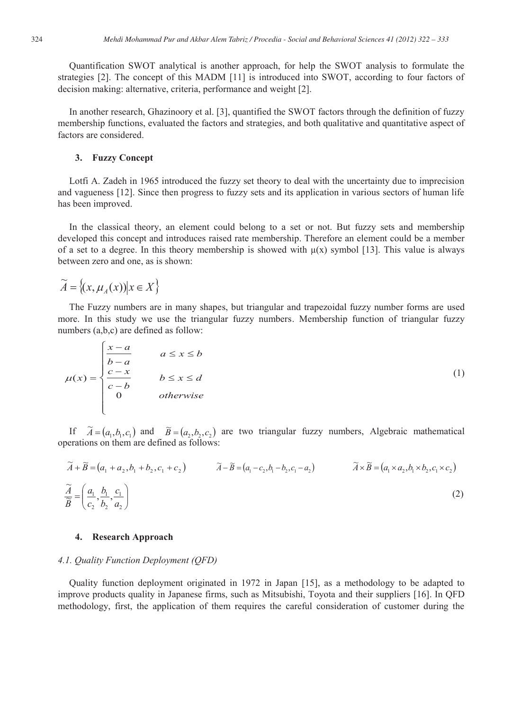Quantification SWOT analytical is another approach, for help the SWOT analysis to formulate the strategies [2]. The concept of this MADM [11] is introduced into SWOT, according to four factors of decision making: alternative, criteria, performance and weight [2].

In another research, Ghazinoory et al. [3], quantified the SWOT factors through the definition of fuzzy membership functions, evaluated the factors and strategies, and both qualitative and quantitative aspect of factors are considered.

# **3. Fuzzy Concept**

Lotfi A. Zadeh in 1965 introduced the fuzzy set theory to deal with the uncertainty due to imprecision and vagueness [12]. Since then progress to fuzzy sets and its application in various sectors of human life has been improved.

In the classical theory, an element could belong to a set or not. But fuzzy sets and membership developed this concept and introduces raised rate membership. Therefore an element could be a member of a set to a degree. In this theory membership is showed with  $\mu(x)$  symbol [13]. This value is always between zero and one, as is shown:

$$
\widetilde{A} = \left\{ (x, \mu_A(x)) \middle| x \in X \right\}
$$

 $\epsilon$ 

The Fuzzy numbers are in many shapes, but triangular and trapezoidal fuzzy number forms are used more. In this study we use the triangular fuzzy numbers. Membership function of triangular fuzzy numbers (a,b,c) are defined as follow:

$$
\mu(x) = \begin{cases} \frac{x-a}{b-a} & a \le x \le b \\ \frac{c-x}{c-b} & b \le x \le d \\ 0 & otherwise \end{cases}
$$
 (1)

If  $\widetilde{A} = (a_1, b_1, c_1)$  and  $\widetilde{B} = (a_2, b_2, c_2)$  are two triangular fuzzy numbers, Algebraic mathematical operations on them are defined as follows:

$$
\widetilde{A} + \widetilde{B} = (a_1 + a_2, b_1 + b_2, c_1 + c_2) \qquad \widetilde{A} - \widetilde{B} = (a_1 - c_2, b_1 - b_2, c_1 - a_2) \qquad \widetilde{A} \times \widetilde{B} = (a_1 \times a_2, b_1 \times b_2, c_1 \times c_2)
$$
\n
$$
\widetilde{\widetilde{B}} = \left(\frac{a_1}{c_2}, \frac{b_1}{b_2}, \frac{c_1}{a_2}\right) \tag{2}
$$

## **4. Research Approach**

## *4.1. Quality Function Deployment (QFD)*

Quality function deployment originated in 1972 in Japan [15], as a methodology to be adapted to improve products quality in Japanese firms, such as Mitsubishi, Toyota and their suppliers [16]. In QFD methodology, first, the application of them requires the careful consideration of customer during the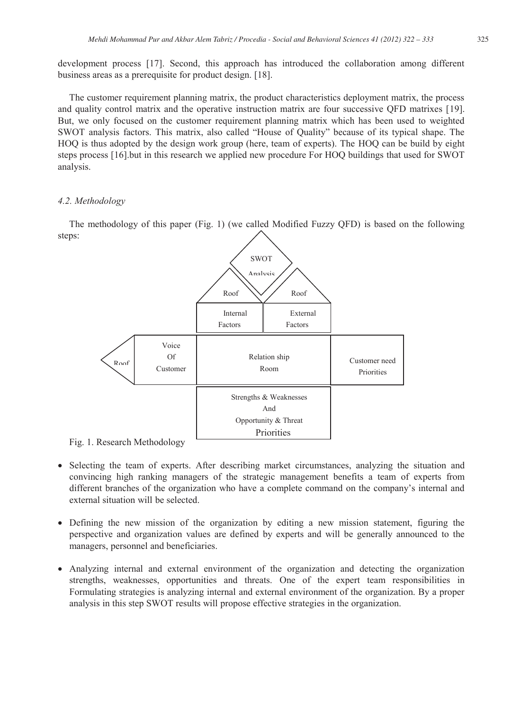development process [17]. Second, this approach has introduced the collaboration among different business areas as a prerequisite for product design. [18].

The customer requirement planning matrix, the product characteristics deployment matrix, the process and quality control matrix and the operative instruction matrix are four successive QFD matrixes [19]. But, we only focused on the customer requirement planning matrix which has been used to weighted SWOT analysis factors. This matrix, also called "House of Quality" because of its typical shape. The HOQ is thus adopted by the design work group (here, team of experts). The HOQ can be build by eight steps process [16].but in this research we applied new procedure For HOQ buildings that used for SWOT analysis.

# *4.2. Methodology*

The methodology of this paper (Fig. 1) (we called Modified Fuzzy QFD) is based on the following steps:



Fig. 1. Research Methodology

- Selecting the team of experts. After describing market circumstances, analyzing the situation and convincing high ranking managers of the strategic management benefits a team of experts from different branches of the organization who have a complete command on the company's internal and external situation will be selected.
- Defining the new mission of the organization by editing a new mission statement, figuring the perspective and organization values are defined by experts and will be generally announced to the managers, personnel and beneficiaries.
- Analyzing internal and external environment of the organization and detecting the organization strengths, weaknesses, opportunities and threats. One of the expert team responsibilities in Formulating strategies is analyzing internal and external environment of the organization. By a proper analysis in this step SWOT results will propose effective strategies in the organization.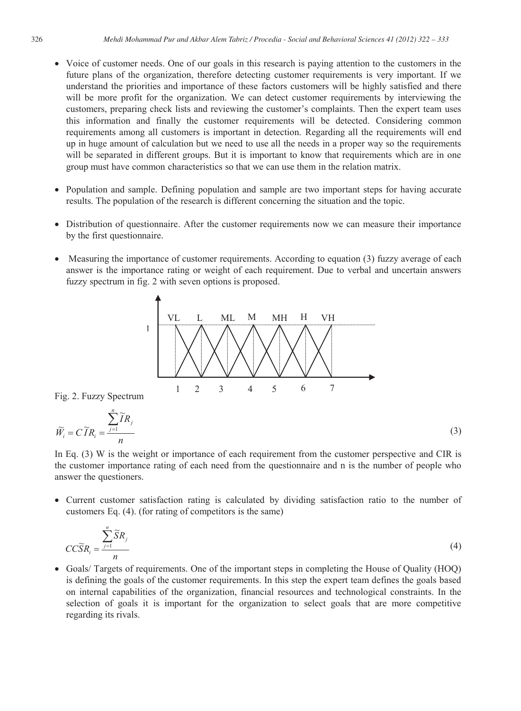- Voice of customer needs. One of our goals in this research is paying attention to the customers in the future plans of the organization, therefore detecting customer requirements is very important. If we understand the priorities and importance of these factors customers will be highly satisfied and there will be more profit for the organization. We can detect customer requirements by interviewing the customers, preparing check lists and reviewing the customer's complaints. Then the expert team uses this information and finally the customer requirements will be detected. Considering common requirements among all customers is important in detection. Regarding all the requirements will end up in huge amount of calculation but we need to use all the needs in a proper way so the requirements will be separated in different groups. But it is important to know that requirements which are in one group must have common characteristics so that we can use them in the relation matrix.
- Population and sample. Defining population and sample are two important steps for having accurate results. The population of the research is different concerning the situation and the topic.
- Distribution of questionnaire. After the customer requirements now we can measure their importance by the first questionnaire.
- Measuring the importance of customer requirements. According to equation (3) fuzzy average of each answer is the importance rating or weight of each requirement. Due to verbal and uncertain answers fuzzy spectrum in fig. 2 with seven options is proposed.



In Eq. (3) W is the weight or importance of each requirement from the customer perspective and CIR is the customer importance rating of each need from the questionnaire and n is the number of people who answer the questioners.

• Current customer satisfaction rating is calculated by dividing satisfaction ratio to the number of customers Eq. (4). (for rating of competitors is the same)

$$
CC\widetilde{S}R_i = \frac{\sum_{j=1}^n \widetilde{S}R_j}{n}
$$
\n(4)

• Goals/ Targets of requirements. One of the important steps in completing the House of Quality (HOQ) is defining the goals of the customer requirements. In this step the expert team defines the goals based on internal capabilities of the organization, financial resources and technological constraints. In the selection of goals it is important for the organization to select goals that are more competitive regarding its rivals.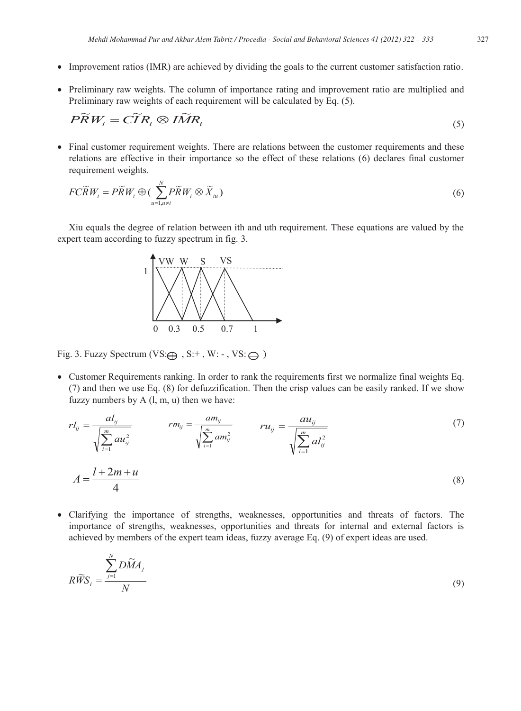- Improvement ratios (IMR) are achieved by dividing the goals to the current customer satisfaction ratio.
- Preliminary raw weights. The column of importance rating and improvement ratio are multiplied and Preliminary raw weights of each requirement will be calculated by Eq. (5).

$$
P\widetilde{R}W_i = C\widetilde{I}R_i \otimes I\widetilde{M}R_i
$$
\n<sup>(5)</sup>

• Final customer requirement weights. There are relations between the customer requirements and these relations are effective in their importance so the effect of these relations (6) declares final customer requirement weights.

$$
FC\widetilde{R}W_i = P\widetilde{R}W_i \oplus \left(\sum_{u=1, u\neq i}^{N} P\widetilde{R}W_i \otimes \widetilde{X}_{iu}\right)
$$
\n
$$
\tag{6}
$$

Xiu equals the degree of relation between ith and uth requirement. These equations are valued by the expert team according to fuzzy spectrum in fig. 3.



Fig. 3. Fuzzy Spectrum (VS: $\bigoplus$ , S:+, W: -, VS: $\bigoplus$ )

• Customer Requirements ranking. In order to rank the requirements first we normalize final weights Eq. (7) and then we use Eq. (8) for defuzzification. Then the crisp values can be easily ranked. If we show fuzzy numbers by A (l, m, u) then we have:

$$
r l_{ij} = \frac{a l_{ij}}{\sqrt{\sum_{i=1}^{m} a u_{ij}^2}}
$$

$$
r m_{ij} = \frac{a m_{ij}}{\sqrt{\sum_{i=1}^{m} a m_{ij}^2}}
$$

$$
r u_{ij} = \frac{a u_{ij}}{\sqrt{\sum_{i=1}^{m} a l_{ij}^2}}
$$

$$
A = \frac{l + 2m + u}{4}
$$
(8)

• Clarifying the importance of strengths, weaknesses, opportunities and threats of factors. The importance of strengths, weaknesses, opportunities and threats for internal and external factors is achieved by members of the expert team ideas, fuzzy average Eq. (9) of expert ideas are used.

$$
R\widetilde{WS}_i = \frac{\sum_{j=1}^{N} D\widetilde{M}A_j}{N}
$$
\n(9)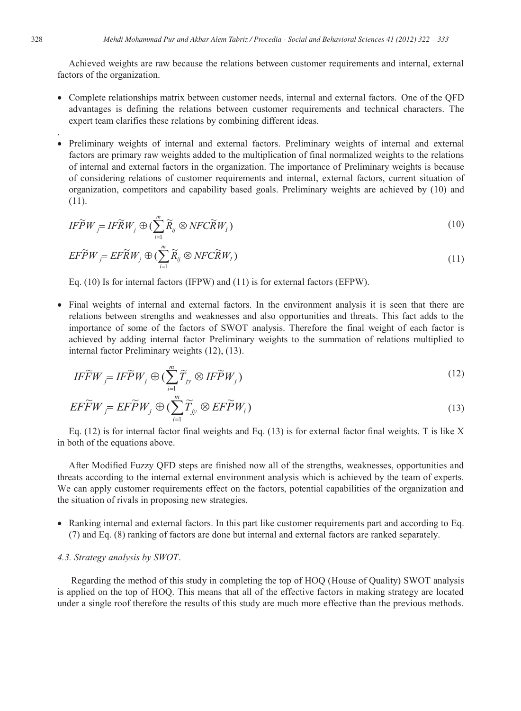Achieved weights are raw because the relations between customer requirements and internal, external factors of the organization.

- Complete relationships matrix between customer needs, internal and external factors. One of the QFD advantages is defining the relations between customer requirements and technical characters. The expert team clarifies these relations by combining different ideas.
- Preliminary weights of internal and external factors. Preliminary weights of internal and external factors are primary raw weights added to the multiplication of final normalized weights to the relations of internal and external factors in the organization. The importance of Preliminary weights is because of considering relations of customer requirements and internal, external factors, current situation of organization, competitors and capability based goals. Preliminary weights are achieved by (10) and (11).

$$
IF\widetilde{P}W_{j} = IF\widetilde{R}W_{j} \oplus (\sum_{i=1}^{m} \widetilde{R}_{ij} \otimes NFC\widetilde{R}W_{I})
$$
\n(10)

$$
EF\widetilde{P}W_j = EF\widetilde{R}W_j \oplus (\sum_{i=1}^{m} \widetilde{R}_{ij} \otimes NFC\widetilde{R}W_i)
$$
\n(11)

Eq. (10) Is for internal factors (IFPW) and (11) is for external factors (EFPW).

• Final weights of internal and external factors. In the environment analysis it is seen that there are relations between strengths and weaknesses and also opportunities and threats. This fact adds to the importance of some of the factors of SWOT analysis. Therefore the final weight of each factor is achieved by adding internal factor Preliminary weights to the summation of relations multiplied to internal factor Preliminary weights (12), (13).

$$
IF\widetilde{F}W_{j} = IF\widetilde{P}W_{j} \oplus (\sum_{i=1}^{m} \widetilde{T}_{jy} \otimes IF\widetilde{P}W_{j})
$$
\n(12)

$$
E\widetilde{F}W_j = EF\widetilde{P}W_j \oplus (\sum_{i=1}^{m} \widetilde{T}_{jy} \otimes EF\widetilde{P}W_i)
$$
\n(13)

Eq.  $(12)$  is for internal factor final weights and Eq.  $(13)$  is for external factor final weights. T is like X in both of the equations above.

After Modified Fuzzy QFD steps are finished now all of the strengths, weaknesses, opportunities and threats according to the internal external environment analysis which is achieved by the team of experts. We can apply customer requirements effect on the factors, potential capabilities of the organization and the situation of rivals in proposing new strategies.

• Ranking internal and external factors. In this part like customer requirements part and according to Eq. (7) and Eq. (8) ranking of factors are done but internal and external factors are ranked separately.

#### *4.3. Strategy analysis by SWOT*.

 Regarding the method of this study in completing the top of HOQ (House of Quality) SWOT analysis is applied on the top of HOQ. This means that all of the effective factors in making strategy are located under a single roof therefore the results of this study are much more effective than the previous methods.

.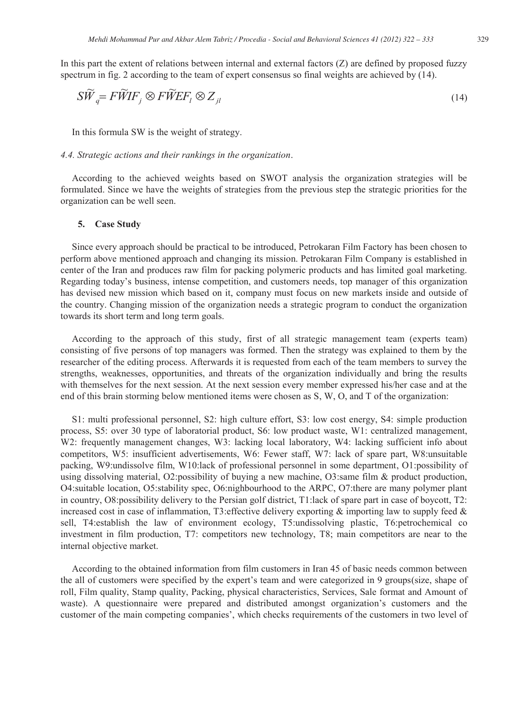In this part the extent of relations between internal and external factors (Z) are defined by proposed fuzzy spectrum in fig. 2 according to the team of expert consensus so final weights are achieved by  $(14)$ .

$$
S\widetilde{W}_q = F\widetilde{W}IF_j \otimes F\widetilde{W}EF_l \otimes Z_{jl} \tag{14}
$$

In this formula SW is the weight of strategy.

#### *4.4. Strategic actions and their rankings in the organization*.

According to the achieved weights based on SWOT analysis the organization strategies will be formulated. Since we have the weights of strategies from the previous step the strategic priorities for the organization can be well seen.

#### **5. Case Study**

Since every approach should be practical to be introduced, Petrokaran Film Factory has been chosen to perform above mentioned approach and changing its mission. Petrokaran Film Company is established in center of the Iran and produces raw film for packing polymeric products and has limited goal marketing. Regarding today's business, intense competition, and customers needs, top manager of this organization has devised new mission which based on it, company must focus on new markets inside and outside of the country. Changing mission of the organization needs a strategic program to conduct the organization towards its short term and long term goals.

According to the approach of this study, first of all strategic management team (experts team) consisting of five persons of top managers was formed. Then the strategy was explained to them by the researcher of the editing process. Afterwards it is requested from each of the team members to survey the strengths, weaknesses, opportunities, and threats of the organization individually and bring the results with themselves for the next session. At the next session every member expressed his/her case and at the end of this brain storming below mentioned items were chosen as S, W, O, and T of the organization:

S1: multi professional personnel, S2: high culture effort, S3: low cost energy, S4: simple production process, S5: over 30 type of laboratorial product, S6: low product waste, W1: centralized management, W2: frequently management changes, W3: lacking local laboratory, W4: lacking sufficient info about competitors, W5: insufficient advertisements, W6: Fewer staff, W7: lack of spare part, W8:unsuitable packing, W9:undissolve film, W10:lack of professional personnel in some department, O1:possibility of using dissolving material, O2:possibility of buying a new machine, O3:same film & product production, O4:suitable location, O5:stability spec, O6:nighbourhood to the ARPC, O7:there are many polymer plant in country, O8:possibility delivery to the Persian golf district, T1:lack of spare part in case of boycott, T2: increased cost in case of inflammation, T3: effective delivery exporting  $\&$  importing law to supply feed  $\&$ sell, T4:establish the law of environment ecology, T5:undissolving plastic, T6:petrochemical co investment in film production, T7: competitors new technology, T8; main competitors are near to the internal objective market.

According to the obtained information from film customers in Iran 45 of basic needs common between the all of customers were specified by the expert's team and were categorized in 9 groups(size, shape of roll, Film quality, Stamp quality, Packing, physical characteristics, Services, Sale format and Amount of waste). A questionnaire were prepared and distributed amongst organization's customers and the customer of the main competing companies', which checks requirements of the customers in two level of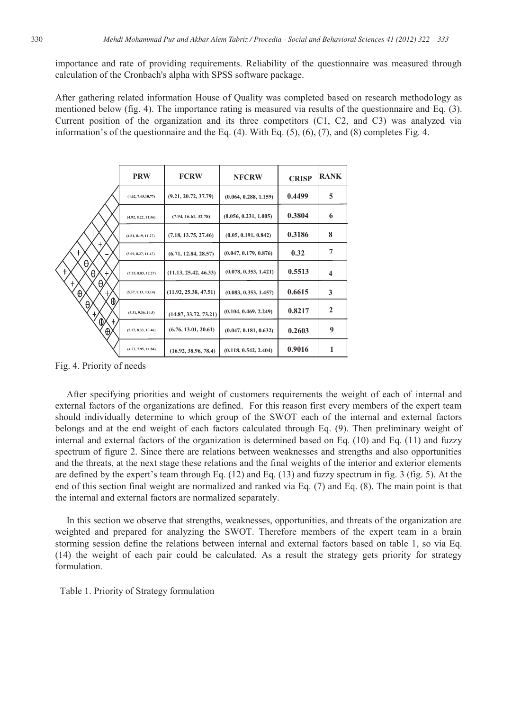importance and rate of providing requirements. Reliability of the questionnaire was measured through calculation of the Cronbach's alpha with SPSS software package.

After gathering related information House of Quality was completed based on research methodology as mentioned below (fig. 4). The importance rating is measured via results of the questionnaire and Eq. (3). Current position of the organization and its three competitors (C1, C2, and C3) was analyzed via information's of the questionnaire and the Eq.  $(4)$ . With Eq.  $(5)$ ,  $(6)$ ,  $(7)$ , and  $(8)$  completes Fig. 4.

|                                                                | <b>PRW</b>          | <b>FCRW</b>           | <b>NFCRW</b>          | <b>CRISP</b> | <b>RANK</b>             |
|----------------------------------------------------------------|---------------------|-----------------------|-----------------------|--------------|-------------------------|
|                                                                | (4.62, 7.65, 10.77) | (9.21, 20.72, 37.79)  | (0.064, 0.288, 1.159) | 0.4499       | 5                       |
|                                                                | (4.92, 8.22, 11.56) | (7.94, 16.61, 32.78)  | (0.056, 0.231, 1.005) | 0.3804       | 6                       |
| ł<br>$^\mathrm{+}$<br>$\ddagger$<br>θ<br>$\ddag$<br>θ<br>$\pm$ | (4.81, 8.19, 11.27) | (7.18, 13.75, 27.46)  | (0.05, 0.191, 0.842)  | 0.3186       | 8                       |
|                                                                | (5.09, 8.27, 11.47) | (6.71, 12.84, 28.57)  | (0.047, 0.179, 0.876) | 0.32         | 7                       |
|                                                                | (5.25, 8.83, 12.27) | (11.13, 25.42, 46.33) | (0.078, 0.353, 1.421) | 0.5513       | $\overline{\mathbf{4}}$ |
| θ.<br>$\ddagger$<br>$\oplus$<br>Ł,                             | (5.37, 9.13, 13.14) | (11.92, 25.38, 47.51) | (0.083, 0.353, 1.457) | 0.6615       | 3                       |
| ⊕<br>θ,<br>Ł                                                   | (5.31, 9.36, 14.5)  | (14.87, 33.72, 73.21) | (0.104, 0.469, 2.249) | 0.8217       | $\mathbf{2}$            |
| ⊕<br>÷<br>$\oplus$                                             | (5.17, 8.33, 10.46) | (6.76, 13.01, 20.61)  | (0.047, 0.181, 0.632) | 0.2603       | 9                       |
|                                                                | (4.73, 7.95, 11.84) | (16.92, 38.96, 78.4)  | (0.118, 0.542, 2.404) | 0.9016       |                         |

Fig. 4. Priority of needs

After specifying priorities and weight of customers requirements the weight of each of internal and external factors of the organizations are defined. For this reason first every members of the expert team should individually determine to which group of the SWOT each of the internal and external factors belongs and at the end weight of each factors calculated through Eq. (9). Then preliminary weight of internal and external factors of the organization is determined based on Eq. (10) and Eq. (11) and fuzzy spectrum of figure 2. Since there are relations between weaknesses and strengths and also opportunities and the threats, at the next stage these relations and the final weights of the interior and exterior elements are defined by the expert's team through Eq. (12) and Eq. (13) and fuzzy spectrum in fig. 3 (fig. 5). At the end of this section final weight are normalized and ranked via Eq. (7) and Eq. (8). The main point is that the internal and external factors are normalized separately.

In this section we observe that strengths, weaknesses, opportunities, and threats of the organization are weighted and prepared for analyzing the SWOT. Therefore members of the expert team in a brain storming session define the relations between internal and external factors based on table 1, so via Eq. (14) the weight of each pair could be calculated. As a result the strategy gets priority for strategy formulation.

Table 1. Priority of Strategy formulation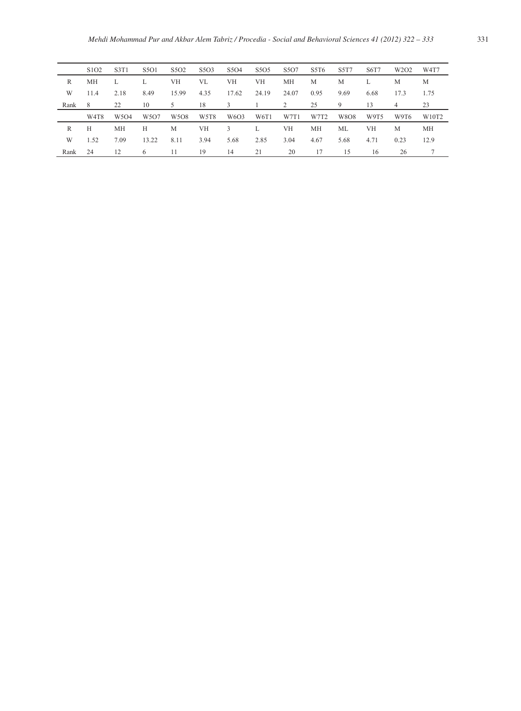|      | S <sub>1</sub> O <sub>2</sub> | S3T1                          | S501  | S5O <sub>2</sub><br>S <sub>5</sub> O <sub>3</sub> |      | S <sub>5</sub> O <sub>4</sub> | S5O5  | S <sub>5</sub> O <sub>7</sub> | S5T6 | S5T7 | S6T7 | W <sub>2</sub> O <sub>2</sub> | W <sub>4</sub> T <sub>7</sub> |  |
|------|-------------------------------|-------------------------------|-------|---------------------------------------------------|------|-------------------------------|-------|-------------------------------|------|------|------|-------------------------------|-------------------------------|--|
| R    | MН                            | L                             |       | VH                                                | VL   | VH                            | VH    | МH                            | M    | M    |      | M                             | M                             |  |
| W    | 11.4                          | 2.18                          | 8.49  | 15.99                                             | 4.35 | 17.62                         | 24.19 | 24.07                         | 0.95 | 9.69 | 6.68 | 17.3                          | 1.75                          |  |
| Rank | 8                             | 22                            | 10    | 5                                                 | 18   | 3                             |       | 2                             | 25   | 9    | 13   | 4                             | 23                            |  |
|      | W4T8                          | W <sub>5</sub> O <sub>4</sub> | W5O7  | W <sub>5</sub> O <sub>8</sub>                     | W5T8 | W6O3                          | W6T1  | W7T1                          | W7T2 | W8O8 | W9T5 | W9T6                          | W10T2                         |  |
| R    | Н                             | МH                            | H     | M                                                 | VH   | 3                             | L     | VН                            | МH   | ML   | VH   | M                             | МH                            |  |
| W    | 1.52                          | 7.09                          | 13.22 | 8.11                                              | 3.94 | 5.68                          | 2.85  | 3.04                          | 4.67 | 5.68 | 4.71 | 0.23                          | 12.9                          |  |
| Rank | 24                            | 12                            | 6     | 11                                                | 19   | 14                            | 21    | 20                            | 17   | 15   | 16   | 26                            |                               |  |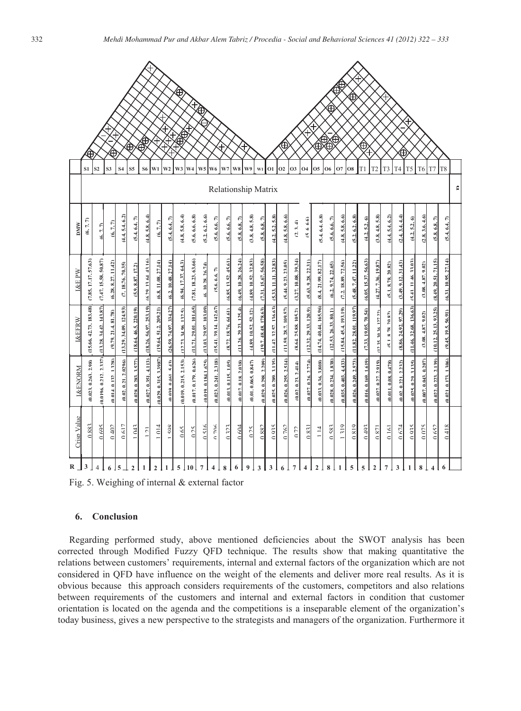|                                                                                                                                                                                                                                                                                                                                                                                                                                                                                                                                                                                                                                                                                                                                                                 | ∖®<br>⊕            |                         |                          |                       |                        |                                                                   |                       |                        |                        |                       |                             | ⊕<br>Đ                   |                       |                      |                       |                      |                       |                        |                       |                      |                          |                        |                       |                       |                        |                       |                      |                      |                        |                           |                       |                       |                       |                                                                                          |
|-----------------------------------------------------------------------------------------------------------------------------------------------------------------------------------------------------------------------------------------------------------------------------------------------------------------------------------------------------------------------------------------------------------------------------------------------------------------------------------------------------------------------------------------------------------------------------------------------------------------------------------------------------------------------------------------------------------------------------------------------------------------|--------------------|-------------------------|--------------------------|-----------------------|------------------------|-------------------------------------------------------------------|-----------------------|------------------------|------------------------|-----------------------|-----------------------------|--------------------------|-----------------------|----------------------|-----------------------|----------------------|-----------------------|------------------------|-----------------------|----------------------|--------------------------|------------------------|-----------------------|-----------------------|------------------------|-----------------------|----------------------|----------------------|------------------------|---------------------------|-----------------------|-----------------------|-----------------------|------------------------------------------------------------------------------------------|
|                                                                                                                                                                                                                                                                                                                                                                                                                                                                                                                                                                                                                                                                                                                                                                 |                    | S1                      | S <sub>2</sub>           | ⊕<br>S3               | S4                     | S5                                                                | S6                    | W1                     | W2                     | W3                    | W <sub>4</sub>              | W <sub>5</sub>           | W <sub>6</sub>        | W7                   | W8                    | W9                   | W1                    | <b>O1</b>              | <b>O2</b>             | <b>O3</b>            | O <sub>4</sub>           | 05                     | <b>O6</b>             | О7                    | <b>O8</b>              | T1                    | T2                   | T3                   | ⊕<br>T4                | T5                        | T6                    | T <sub>7</sub>        | T <sub>8</sub>        |                                                                                          |
|                                                                                                                                                                                                                                                                                                                                                                                                                                                                                                                                                                                                                                                                                                                                                                 |                    |                         |                          |                       |                        |                                                                   |                       |                        |                        |                       |                             |                          |                       | Relationship Matrix  |                       |                      |                       |                        |                       |                      |                          |                        |                       |                       |                        |                       |                      |                      |                        |                           |                       |                       |                       | c                                                                                        |
|                                                                                                                                                                                                                                                                                                                                                                                                                                                                                                                                                                                                                                                                                                                                                                 | MM                 | (6, 7, 7)               | $\overline{6.7}$         | (6, 7, 7)             | (4.4, 5.4, 6.2)        | (5.4, 6.4, 7)                                                     | (4.8.5.8.6.4)         | (6, 7, 7)              | (5.4, 6.4, 7)          | (4.8, 5.8, 6.4)       | (5.6, 6.6, 6.8)             | (5.2.6.2.6.6)            | (5.6, 6.6, 7)         | (5.6, 6.6, 7)        | (5.8, 6.8, 7)         | (3.8, 4.8, 5.8)      | (5.8, 6.8, 7)         | (4.2, 5.2, 5.8)        | (4.8, 5.8, 6.6)       | (2.3.4)              | 1999                     | (5.4.6.4.6.8)          | (5.6, 6.6, 7)         | (4.8, 5.8, 6.6)       | (5.2, 6.2, 6.8)        | (4.2, 5.2, 6)         | (3.8, 4.8, 5.8)      | (4.4, 5.4, 6.2)      | (2.4.3.4.4.4)          | (4.2, 5.2, 6)             | (2.8, 3.6, 4.6)       | (5.8, 6.8, 7)         | (5.4, 6.4             |                                                                                          |
|                                                                                                                                                                                                                                                                                                                                                                                                                                                                                                                                                                                                                                                                                                                                                                 | I&E PW             | (7.85, 17.17, 57.63)    | (7.47, 15.58, 50.87)     | (6.28, 8.27, 11.42)   | (7.18.76, 70.35)       | (5.9, 8.87, 17.2)                                                 | (6.29, 13.64, 43.16)  | (6.8, 11.08, 27.14)    | (6.2, 10.48, 27.14)    | (6.94, 17.37, 64.3)   | (7.81, 18.23, 63.66)        | (6.10.28.26.74)          | (5.6.6.6.7)           | (6.85, 13.52, 45.61) | (6.49. 10.28. 26.24)  | (4.89, 10.52, 32.83) | (7.31, 15.67, 56.58)  | (5.33, 11.11, 32.83)   | (5.44, 9.23, 23.05)   | (3.27, 10.08, 39.34) | 22.31<br>9.28.<br>(5.63. | (8.4, 21.99, 82.17)    | (6.2.9.74.22.65)      | (7.2.18.89, 72.56)    | (5.48, 7.47, 11.22)    | (6.05, 15.37, 56.63)  | (4.27, 7.36, 19.87)  | (5.1, 8.78, 20.82)   | (3.49, 9.12, 31.43)    | $-11.46, 33.03$<br>(5.41) | (3.08, 4.87, 9.02)    | (8.49, 20.51, 71.15)  | (6.31, 10.95, 27.14)  |                                                                                          |
|                                                                                                                                                                                                                                                                                                                                                                                                                                                                                                                                                                                                                                                                                                                                                                 | <b>L&amp;EFRW</b>  | 42.73.183.48)<br>(15.66 | 143.87)<br>(13.28)       | (9.79, 21.4, 81.78)   | (13.29, 34.09, 124.93) | (18.64, 46.5, 220.19)                                             | (18.26.56.97.253.19)  | (19.64.51.2.209.21)    | (26.59, 74.97, 334.27) | (12.73, 34.96, 132.5) | 101.65<br>29.01.<br>(11.71, | 29.97.103.09)<br>(13.03) | (15.41.39.14.142.67)  | (8.72, 18.76, 64.61) | (11.26, 29.23, 125.4) | (4.89, 10.52, 52.12) | (19.7.48.48.178.63)   | (11.42, 32.57, 136.63) | (11.59.28.7.109.57)   | (8.64, 25.88, 105.2) | 29.33.120.91<br>(12.32)  | (14.74, 40.44, 165.96) | (12.53, 26.33, 80.1)  | (15.84, 45.4, 193.19) | (11.82, 28.01, 119.97) | (7.33, 19.05, 70.54)  | (12.35.30.36.127.22) | (5.1.878.20.82)      | (8.86, 24.92, 97.29)   | (11.46, 32.68, 136.63)    | (3.08, 4.87, 9.02)    | (10.12, 25.13, 93.25) | (9.45, 19.5, 56.91)   |                                                                                          |
|                                                                                                                                                                                                                                                                                                                                                                                                                                                                                                                                                                                                                                                                                                                                                                 | <b>I&amp;FNORM</b> | (0.023, 0.263, 2.98)    | 2.3371<br>(0.0196.0.212) | (0.014, 0.132, 1.328) | (0.02, 0.21, 2.0296)   | (0.028, 0.283, 3.577)                                             | (0.027, 0.351, 4.113) | (0.029, 0.315, 3.3987) | (0.030, 0.461, 5.43)   | (0.019, 0.215, 2.153) | (0.017, 0.179, 0.626)       | (0.019, 0.184, 1.675)    | (0.023, 0.241, 2.318) | (0.013, 0.115, 1.05) | (0.017, 0.18, 2.038)  | (0.01.0.065.0.847)   | (0.029, 0.298, 2.209) | (0.025, 0.289, 3.135)  | (0.026, 0.255, 2.514) | (0.02, 0.23, 2.414)  | 774)<br>(0.027, 0.26, 2. | (0.033, 0.36, 3.808)   | (0.028, 0.234, 1.838) | (0.035, 0.403, 4.433) | (0.026, 0.249, 2.573)  | (0.016, 0.169, 1.619) | (0.027, 0.27, 2.919) | (0.011, 0.08, 0.478) | 2.232<br>(0.02, 0.221) | (0.025, 0.29, 3.135)      | (0.007, 0.043, 0.207) | (0.022, 0.223, 2.139) | (0.021, 0.173, 1.306) |                                                                                          |
|                                                                                                                                                                                                                                                                                                                                                                                                                                                                                                                                                                                                                                                                                                                                                                 | Crisp Value        | 0.883                   | 0.695                    | 0402                  | 0617                   | 1043                                                              | 101                   | 1014                   | $1 \leq Q$             | 0.65                  | 0.25                        | 0.516                    | 0.706                 | 0.323                | 0.604                 | $rac{25}{2}$         | 0.882                 | 0935                   | 0762                  | 072                  | 0.83                     | $\bar{z}$              | 0.583                 | 1319                  | 0.819                  | 0493                  | 0.871                | 0.161                | 0674                   | 0.935                     | 0.075                 | 0.652                 | 0.418                 |                                                                                          |
|                                                                                                                                                                                                                                                                                                                                                                                                                                                                                                                                                                                                                                                                                                                                                                 | 6.                 |                         |                          |                       |                        | 2<br>Fig. 5. Weighing of internal & external factor<br>Conclusion |                       | $\overline{2}$         |                        | 5                     | 10 l                        | $\overline{7}$           |                       | 8                    | 6                     | 9                    | 3                     | 3                      |                       | $\overline{7}$       |                          | $\overline{2}$         | 8                     |                       | 5                      | 5                     | $\overline{2}$       |                      | 3                      |                           |                       |                       |                       |                                                                                          |
| corrected through Modified Fuzzy QFD technique. The results show that making quantitative the<br>relations between customers' requirements, internal and external factors of the organization which are not<br>considered in QFD have influence on the weight of the elements and deliver more real results. As it is<br>obvious because this approach considers requirements of the customers, competitors and also relations<br>between requirements of the customers and internal and external factors in condition that customer<br>orientation is located on the agenda and the competitions is a inseparable element of the organization's<br>today business, gives a new perspective to the strategists and managers of the organization. Furthermore it |                    |                         |                          |                       |                        |                                                                   |                       |                        |                        |                       |                             |                          |                       |                      |                       |                      |                       |                        |                       |                      |                          |                        |                       |                       |                        |                       |                      |                      |                        |                           |                       |                       |                       | Regarding performed study, above mentioned deficiencies about the SWOT analysis has been |

Fig. 5. Weighing of internal & external factor

# **6. Conclusion**